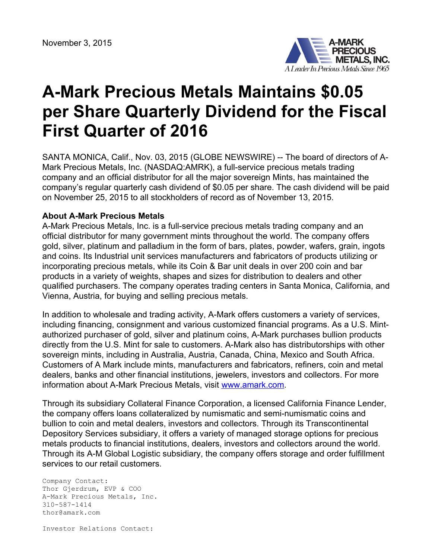

## **A-Mark Precious Metals Maintains \$0.05 per Share Quarterly Dividend for the Fiscal First Quarter of 2016**

SANTA MONICA, Calif., Nov. 03, 2015 (GLOBE NEWSWIRE) -- The board of directors of A-Mark Precious Metals, Inc. (NASDAQ:AMRK), a full-service precious metals trading company and an official distributor for all the major sovereign Mints, has maintained the company's regular quarterly cash dividend of \$0.05 per share. The cash dividend will be paid on November 25, 2015 to all stockholders of record as of November 13, 2015.

## **About A-Mark Precious Metals**

A-Mark Precious Metals, Inc. is a full-service precious metals trading company and an official distributor for many government mints throughout the world. The company offers gold, silver, platinum and palladium in the form of bars, plates, powder, wafers, grain, ingots and coins. Its Industrial unit services manufacturers and fabricators of products utilizing or incorporating precious metals, while its Coin & Bar unit deals in over 200 coin and bar products in a variety of weights, shapes and sizes for distribution to dealers and other qualified purchasers. The company operates trading centers in Santa Monica, California, and Vienna, Austria, for buying and selling precious metals.

In addition to wholesale and trading activity, A-Mark offers customers a variety of services, including financing, consignment and various customized financial programs. As a U.S. Mintauthorized purchaser of gold, silver and platinum coins, A-Mark purchases bullion products directly from the U.S. Mint for sale to customers. A-Mark also has distributorships with other sovereign mints, including in Australia, Austria, Canada, China, Mexico and South Africa. Customers of A Mark include mints, manufacturers and fabricators, refiners, coin and metal dealers, banks and other financial institutions, jewelers, investors and collectors. For more information about A-Mark Precious Metals, visit [www.amark.com.](https://www.globenewswire.com/Tracker?data=ipa1IBFwlEX1noxMzSa75qWuaDOzDmt1-KJdg06sTRev8pCPwzrL68ga-knnnje33KG_Xa50WDslP3B0eO0cDg==)

Through its subsidiary Collateral Finance Corporation, a licensed California Finance Lender, the company offers loans collateralized by numismatic and semi-numismatic coins and bullion to coin and metal dealers, investors and collectors. Through its Transcontinental Depository Services subsidiary, it offers a variety of managed storage options for precious metals products to financial institutions, dealers, investors and collectors around the world. Through its A-M Global Logistic subsidiary, the company offers storage and order fulfillment services to our retail customers.

Company Contact: Thor Gjerdrum, EVP & COO A-Mark Precious Metals, Inc. 310-587-1414 thor@amark.com

Investor Relations Contact: